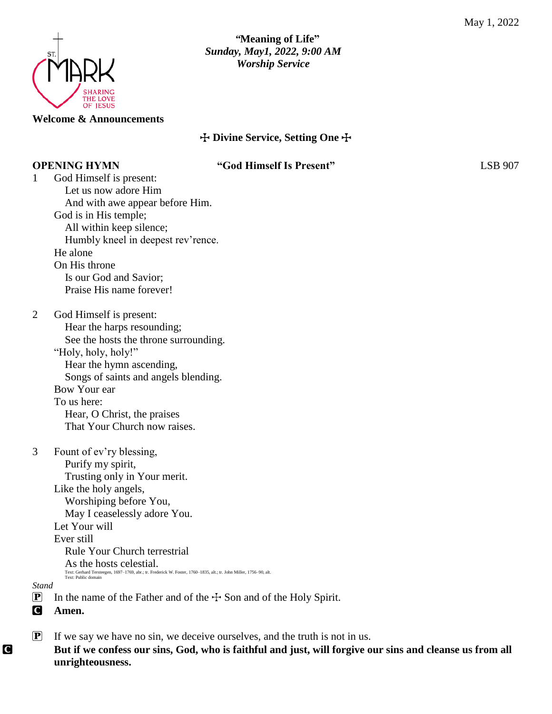

# *"***Meaning of Life"**  *Sunday, May1, 2022, 9:00 AM Worship Service*

**Welcome & Announcements**

# T **Divine Service, Setting One** T

## **OPENING HYMN "God Himself Is Present"** LSB 907

1 God Himself is present: Let us now adore Him And with awe appear before Him. God is in His temple; All within keep silence; Humbly kneel in deepest rev'rence. He alone On His throne Is our God and Savior; Praise His name forever!

2 God Himself is present: Hear the harps resounding; See the hosts the throne surrounding. "Holy, holy, holy!" Hear the hymn ascending, Songs of saints and angels blending. Bow Your ear To us here: Hear, O Christ, the praises That Your Church now raises.

3 Fount of ev'ry blessing, Purify my spirit, Trusting only in Your merit. Like the holy angels, Worshiping before You, May I ceaselessly adore You. Let Your will Ever still Rule Your Church terrestrial As the hosts celestial. Text: Gerhard Tersteegen, 1697–1769, abr.; tr. Frederick W. Foster, 1760–1835, alt.; tr. John Miller, 1756–90, alt.<br>Text: Public domain

*Stand*

**P** In the name of the Father and of the  $\div$  Son and of the Holy Spirit.

C **Amen.**

 $\mathbf{P}$  If we say we have no sin, we deceive ourselves, and the truth is not in us.

C **But if we confess our sins, God, who is faithful and just, will forgive our sins and cleanse us from all unrighteousness.**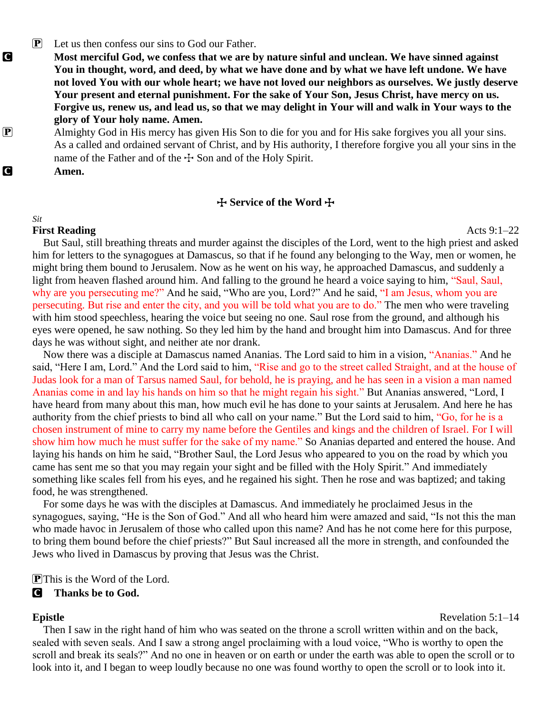$\mathbf{P}$  Let us then confess our sins to God our Father.

C **Most merciful God, we confess that we are by nature sinful and unclean. We have sinned against You in thought, word, and deed, by what we have done and by what we have left undone. We have not loved You with our whole heart; we have not loved our neighbors as ourselves. We justly deserve Your present and eternal punishment. For the sake of Your Son, Jesus Christ, have mercy on us. Forgive us, renew us, and lead us, so that we may delight in Your will and walk in Your ways to the glory of Your holy name. Amen.**

- **P** Almighty God in His mercy has given His Son to die for you and for His sake forgives you all your sins. As a called and ordained servant of Christ, and by His authority, I therefore forgive you all your sins in the name of the Father and of the  $\pm$  Son and of the Holy Spirit.
- C **Amen.**

## **The Service of the Word The Service of the Word**

### *Sit*

## **First Reading** Acts 9:1–22

But Saul, still breathing threats and murder against the disciples of the Lord, went to the high priest and asked him for letters to the synagogues at Damascus, so that if he found any belonging to the Way, men or women, he might bring them bound to Jerusalem. Now as he went on his way, he approached Damascus, and suddenly a light from heaven flashed around him. And falling to the ground he heard a voice saying to him, "Saul, Saul, why are you persecuting me?" And he said, "Who are you, Lord?" And he said, "I am Jesus, whom you are persecuting. But rise and enter the city, and you will be told what you are to do." The men who were traveling with him stood speechless, hearing the voice but seeing no one. Saul rose from the ground, and although his eyes were opened, he saw nothing. So they led him by the hand and brought him into Damascus. And for three days he was without sight, and neither ate nor drank.

Now there was a disciple at Damascus named Ananias. The Lord said to him in a vision, "Ananias." And he said, "Here I am, Lord." And the Lord said to him, "Rise and go to the street called Straight, and at the house of Judas look for a man of Tarsus named Saul, for behold, he is praying, and he has seen in a vision a man named Ananias come in and lay his hands on him so that he might regain his sight." But Ananias answered, "Lord, I have heard from many about this man, how much evil he has done to your saints at Jerusalem. And here he has authority from the chief priests to bind all who call on your name." But the Lord said to him, "Go, for he is a chosen instrument of mine to carry my name before the Gentiles and kings and the children of Israel. For I will show him how much he must suffer for the sake of my name." So Ananias departed and entered the house. And laying his hands on him he said, "Brother Saul, the Lord Jesus who appeared to you on the road by which you came has sent me so that you may regain your sight and be filled with the Holy Spirit." And immediately something like scales fell from his eyes, and he regained his sight. Then he rose and was baptized; and taking food, he was strengthened.

For some days he was with the disciples at Damascus. And immediately he proclaimed Jesus in the synagogues, saying, "He is the Son of God." And all who heard him were amazed and said, "Is not this the man who made havoc in Jerusalem of those who called upon this name? And has he not come here for this purpose, to bring them bound before the chief priests?" But Saul increased all the more in strength, and confounded the Jews who lived in Damascus by proving that Jesus was the Christ.

PThis is the Word of the Lord.

## C **Thanks be to God.**

**Epistle** Revelation 5:1–14

Then I saw in the right hand of him who was seated on the throne a scroll written within and on the back, sealed with seven seals. And I saw a strong angel proclaiming with a loud voice, "Who is worthy to open the scroll and break its seals?" And no one in heaven or on earth or under the earth was able to open the scroll or to look into it, and I began to weep loudly because no one was found worthy to open the scroll or to look into it.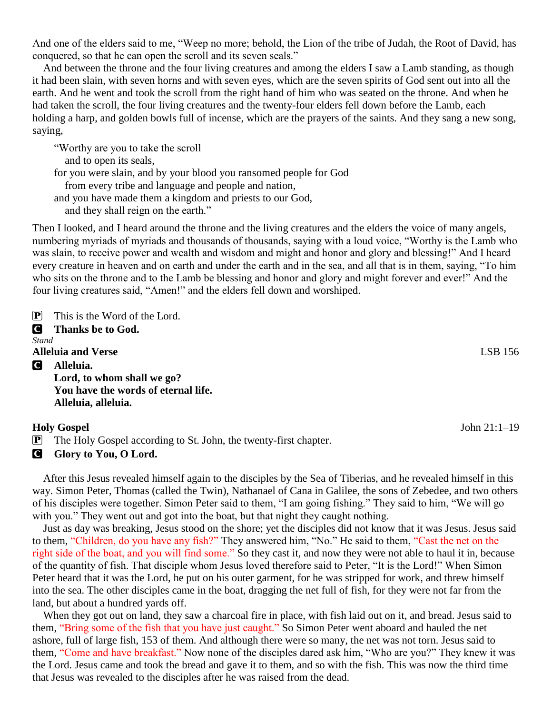And one of the elders said to me, "Weep no more; behold, the Lion of the tribe of Judah, the Root of David, has conquered, so that he can open the scroll and its seven seals."

And between the throne and the four living creatures and among the elders I saw a Lamb standing, as though it had been slain, with seven horns and with seven eyes, which are the seven spirits of God sent out into all the earth. And he went and took the scroll from the right hand of him who was seated on the throne. And when he had taken the scroll, the four living creatures and the twenty-four elders fell down before the Lamb, each holding a harp, and golden bowls full of incense, which are the prayers of the saints. And they sang a new song, saying,

"Worthy are you to take the scroll and to open its seals, for you were slain, and by your blood you ransomed people for God from every tribe and language and people and nation, and you have made them a kingdom and priests to our God, and they shall reign on the earth."

Then I looked, and I heard around the throne and the living creatures and the elders the voice of many angels, numbering myriads of myriads and thousands of thousands, saying with a loud voice, "Worthy is the Lamb who was slain, to receive power and wealth and wisdom and might and honor and glory and blessing!" And I heard every creature in heaven and on earth and under the earth and in the sea, and all that is in them, saying, "To him who sits on the throne and to the Lamb be blessing and honor and glory and might forever and ever!" And the four living creatures said, "Amen!" and the elders fell down and worshiped.

 $\overline{P}$  This is the Word of the Lord.

# C **Thanks be to God.** *Stand*

**Alleluia and Verse** LSB 156

C **Alleluia. Lord, to whom shall we go? You have the words of eternal life. Alleluia, alleluia.**

# **Holy Gospel** John 21:1–19

P The Holy Gospel according to St. John, the twenty-first chapter.

# **G** Glory to You, O Lord.

After this Jesus revealed himself again to the disciples by the Sea of Tiberias, and he revealed himself in this way. Simon Peter, Thomas (called the Twin), Nathanael of Cana in Galilee, the sons of Zebedee, and two others of his disciples were together. Simon Peter said to them, "I am going fishing." They said to him, "We will go with you." They went out and got into the boat, but that night they caught nothing.

Just as day was breaking, Jesus stood on the shore; yet the disciples did not know that it was Jesus. Jesus said to them, "Children, do you have any fish?" They answered him, "No." He said to them, "Cast the net on the right side of the boat, and you will find some." So they cast it, and now they were not able to haul it in, because of the quantity of fish. That disciple whom Jesus loved therefore said to Peter, "It is the Lord!" When Simon Peter heard that it was the Lord, he put on his outer garment, for he was stripped for work, and threw himself into the sea. The other disciples came in the boat, dragging the net full of fish, for they were not far from the land, but about a hundred yards off.

When they got out on land, they saw a charcoal fire in place, with fish laid out on it, and bread. Jesus said to them, "Bring some of the fish that you have just caught." So Simon Peter went aboard and hauled the net ashore, full of large fish, 153 of them. And although there were so many, the net was not torn. Jesus said to them, "Come and have breakfast." Now none of the disciples dared ask him, "Who are you?" They knew it was the Lord. Jesus came and took the bread and gave it to them, and so with the fish. This was now the third time that Jesus was revealed to the disciples after he was raised from the dead.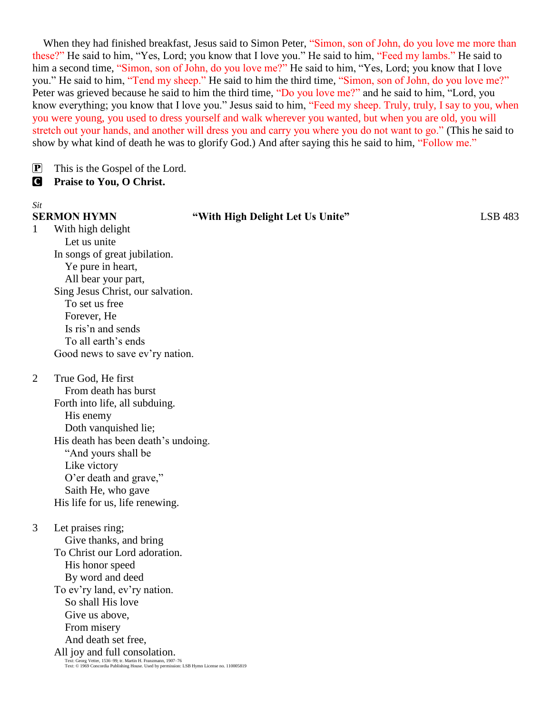When they had finished breakfast, Jesus said to Simon Peter, "Simon, son of John, do you love me more than these?" He said to him, "Yes, Lord; you know that I love you." He said to him, "Feed my lambs." He said to him a second time, "Simon, son of John, do you love me?" He said to him, "Yes, Lord; you know that I love you." He said to him, "Tend my sheep." He said to him the third time, "Simon, son of John, do you love me?" Peter was grieved because he said to him the third time, "Do you love me?" and he said to him, "Lord, you know everything; you know that I love you." Jesus said to him, "Feed my sheep. Truly, truly, I say to you, when you were young, you used to dress yourself and walk wherever you wanted, but when you are old, you will stretch out your hands, and another will dress you and carry you where you do not want to go." (This he said to show by what kind of death he was to glorify God.) And after saying this he said to him, "Follow me."

P This is the Gospel of the Lord.

| $\bullet$ | Praise to You, O Christ. |  |  |
|-----------|--------------------------|--|--|
|-----------|--------------------------|--|--|

# *Sit*

# **SERMON HYMN "With High Delight Let Us Unite"** LSB 483 1 With high delight Let us unite In songs of great jubilation. Ye pure in heart, All bear your part, Sing Jesus Christ, our salvation. To set us free Forever, He Is ris'n and sends To all earth's ends Good news to save ev'ry nation. 2 True God, He first From death has burst Forth into life, all subduing. His enemy Doth vanquished lie; His death has been death's undoing. "And yours shall be Like victory O'er death and grave," Saith He, who gave His life for us, life renewing. 3 Let praises ring; Give thanks, and bring To Christ our Lord adoration. His honor speed By word and deed To ev'ry land, ev'ry nation. So shall His love Give us above, From misery And death set free, All joy and full consolation. Text: Georg Vetter, 1536–99; tr. Martin H. Franzmann, 1907–76 Text: © 1969 Concordia Publishing House. Used by permission: LSB Hymn License no. 110005819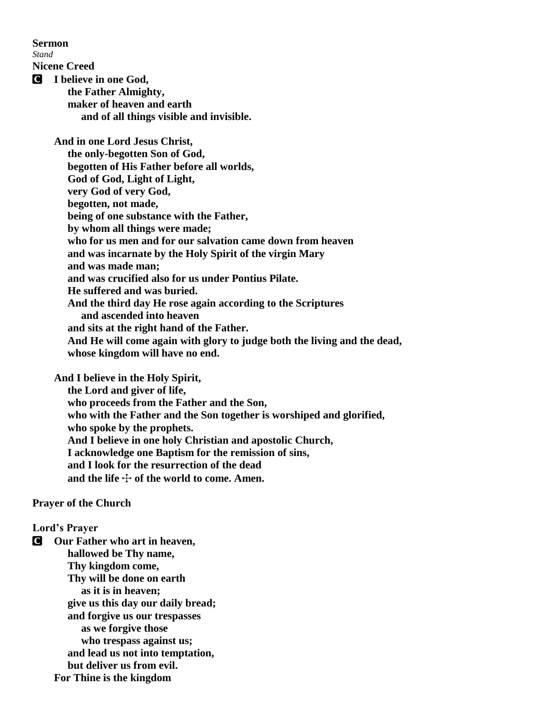**Sermon**

*Stand*

**Nicene Creed**

C **I believe in one God, the Father Almighty, maker of heaven and earth and of all things visible and invisible.**

> **And in one Lord Jesus Christ, the only-begotten Son of God, begotten of His Father before all worlds, God of God, Light of Light, very God of very God, begotten, not made, being of one substance with the Father, by whom all things were made; who for us men and for our salvation came down from heaven and was incarnate by the Holy Spirit of the virgin Mary and was made man; and was crucified also for us under Pontius Pilate. He suffered and was buried. And the third day He rose again according to the Scriptures and ascended into heaven and sits at the right hand of the Father. And He will come again with glory to judge both the living and the dead, whose kingdom will have no end.**

**And I believe in the Holy Spirit, the Lord and giver of life, who proceeds from the Father and the Son, who with the Father and the Son together is worshiped and glorified, who spoke by the prophets. And I believe in one holy Christian and apostolic Church, I acknowledge one Baptism for the remission of sins, and I look for the resurrection of the dead** and the life  $\div$  of the world to come. Amen.

## **Prayer of the Church**

## **Lord's Prayer**

C **Our Father who art in heaven, hallowed be Thy name, Thy kingdom come, Thy will be done on earth as it is in heaven; give us this day our daily bread; and forgive us our trespasses as we forgive those who trespass against us; and lead us not into temptation, but deliver us from evil. For Thine is the kingdom**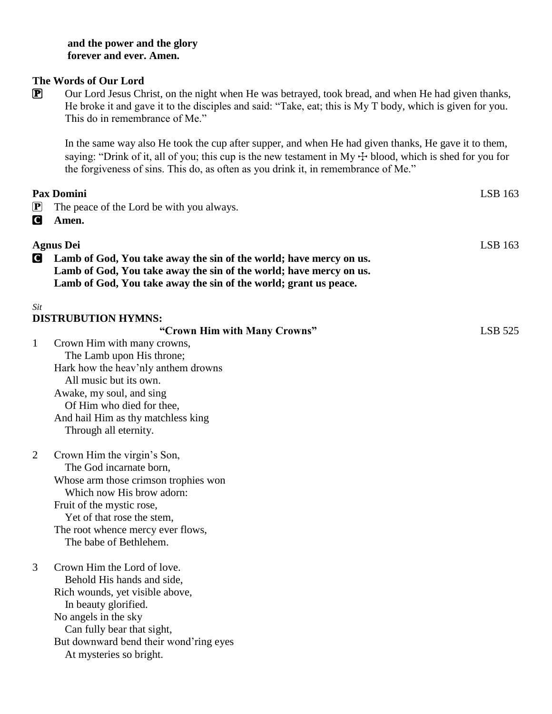# **The Words of Our Lord**

**P** Our Lord Jesus Christ, on the night when He was betrayed, took bread, and when He had given thanks, He broke it and gave it to the disciples and said: "Take, eat; this is My T body, which is given for you. This do in remembrance of Me."

In the same way also He took the cup after supper, and when He had given thanks, He gave it to them, saying: "Drink of it, all of you; this cup is the new testament in My  $+$  blood, which is shed for you for the forgiveness of sins. This do, as often as you drink it, in remembrance of Me."

| <b>Pax Domini</b>         |                                                                                                                                          | LSB 163        |
|---------------------------|------------------------------------------------------------------------------------------------------------------------------------------|----------------|
| $\left[\mathbf{P}\right]$ | The peace of the Lord be with you always.                                                                                                |                |
| C                         | Amen.                                                                                                                                    |                |
|                           | <b>Agnus Dei</b>                                                                                                                         | LSB 163        |
| $\blacksquare$            | Lamb of God, You take away the sin of the world; have mercy on us.<br>Lamb of God, You take away the sin of the world; have mercy on us. |                |
|                           | Lamb of God, You take away the sin of the world; grant us peace.                                                                         |                |
| Sit                       |                                                                                                                                          |                |
|                           | <b>DISTRUBUTION HYMNS:</b>                                                                                                               |                |
|                           | "Crown Him with Many Crowns"                                                                                                             | <b>LSB 525</b> |
| $\mathbf{1}$              | Crown Him with many crowns,                                                                                                              |                |
|                           | The Lamb upon His throne;                                                                                                                |                |
|                           | Hark how the heav'nly anthem drowns                                                                                                      |                |
|                           | All music but its own.                                                                                                                   |                |
|                           | Awake, my soul, and sing                                                                                                                 |                |
|                           | Of Him who died for thee,                                                                                                                |                |
|                           | And hail Him as thy matchless king<br>Through all eternity.                                                                              |                |
|                           |                                                                                                                                          |                |
| 2                         | Crown Him the virgin's Son,                                                                                                              |                |
|                           | The God incarnate born,                                                                                                                  |                |
|                           | Whose arm those crimson trophies won                                                                                                     |                |
|                           | Which now His brow adorn:                                                                                                                |                |
|                           | Fruit of the mystic rose,                                                                                                                |                |
|                           | Yet of that rose the stem,                                                                                                               |                |
|                           | The root whence mercy ever flows,                                                                                                        |                |
|                           | The babe of Bethlehem.                                                                                                                   |                |
| 3                         | Crown Him the Lord of love.                                                                                                              |                |
|                           | Behold His hands and side,                                                                                                               |                |
|                           | Rich wounds, yet visible above,                                                                                                          |                |
|                           | In beauty glorified.                                                                                                                     |                |
|                           | No angels in the sky                                                                                                                     |                |
|                           | Can fully bear that sight,                                                                                                               |                |
|                           | But downward bend their wond'ring eyes                                                                                                   |                |
|                           | At mysteries so bright.                                                                                                                  |                |
|                           |                                                                                                                                          |                |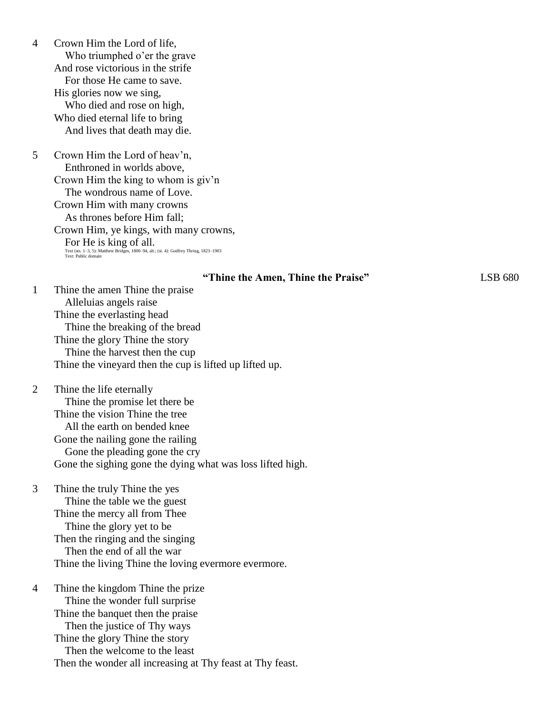4 Crown Him the Lord of life, Who triumphed o'er the grave And rose victorious in the strife For those He came to save. His glories now we sing, Who died and rose on high, Who died eternal life to bring And lives that death may die.

5 Crown Him the Lord of heav'n, Enthroned in worlds above, Crown Him the king to whom is giv'n The wondrous name of Love. Crown Him with many crowns As thrones before Him fall; Crown Him, ye kings, with many crowns, For He is king of all. Text (sts. 1–3, 5): Matthew Bridges, 1800–94, alt.; (st. 4): Godfrey Thring, 1823–1903 Text: Public domain

 **"Thine the Amen, Thine the Praise"** LSB 680

- 1 Thine the amen Thine the praise Alleluias angels raise Thine the everlasting head Thine the breaking of the bread Thine the glory Thine the story Thine the harvest then the cup Thine the vineyard then the cup is lifted up lifted up.
- 2 Thine the life eternally Thine the promise let there be Thine the vision Thine the tree All the earth on bended knee Gone the nailing gone the railing Gone the pleading gone the cry Gone the sighing gone the dying what was loss lifted high.

3 Thine the truly Thine the yes Thine the table we the guest Thine the mercy all from Thee Thine the glory yet to be Then the ringing and the singing Then the end of all the war Thine the living Thine the loving evermore evermore.

4 Thine the kingdom Thine the prize Thine the wonder full surprise Thine the banquet then the praise Then the justice of Thy ways Thine the glory Thine the story Then the welcome to the least Then the wonder all increasing at Thy feast at Thy feast.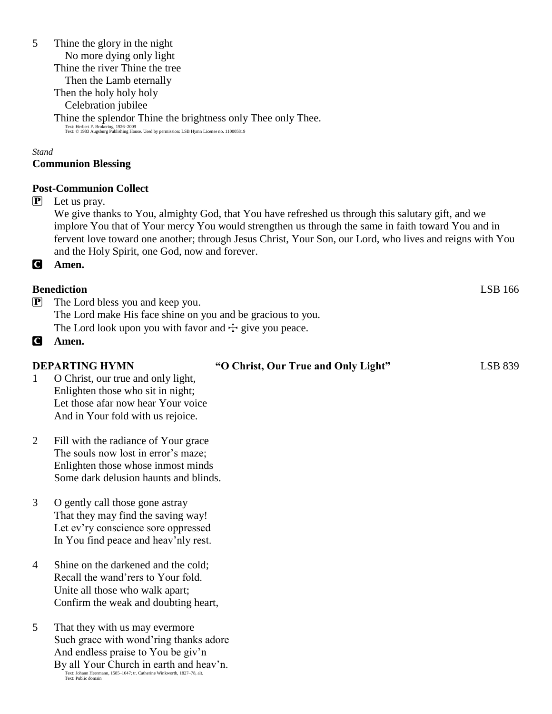5 Thine the glory in the night No more dying only light Thine the river Thine the tree Then the Lamb eternally Then the holy holy holy Celebration jubilee Thine the splendor Thine the brightness only Thee only Thee. Text: Herbert F. Brokering, 1926–2009 Text: © 1983 Augsburg Publishing House. Used by permission: LSB Hymn License no. 110005819

*Stand*

## **Communion Blessing**

## **Post-Communion Collect**

P Let us pray.

We give thanks to You, almighty God, that You have refreshed us through this salutary gift, and we implore You that of Your mercy You would strengthen us through the same in faith toward You and in fervent love toward one another; through Jesus Christ, Your Son, our Lord, who lives and reigns with You and the Holy Spirit, one God, now and forever.

C **Amen.**

# **Benediction** LSB 166

P The Lord bless you and keep you. The Lord make His face shine on you and be gracious to you. The Lord look upon you with favor and  $\pm$  give you peace.

C **Amen.**

**DEPARTING HYMN** "O Christ, Our True and Only Light" LSB 839

- 1 O Christ, our true and only light, Enlighten those who sit in night; Let those afar now hear Your voice And in Your fold with us rejoice.
- 2 Fill with the radiance of Your grace The souls now lost in error's maze; Enlighten those whose inmost minds Some dark delusion haunts and blinds.
- 3 O gently call those gone astray That they may find the saving way! Let ev'ry conscience sore oppressed In You find peace and heav'nly rest.
- 4 Shine on the darkened and the cold; Recall the wand'rers to Your fold. Unite all those who walk apart; Confirm the weak and doubting heart,
- 5 That they with us may evermore Such grace with wond'ring thanks adore And endless praise to You be giv'n By all Your Church in earth and heav'n. Text: Johann Heermann, 1585–1647; tr. Catherine Winkworth, 1827–78, alt. Text: Public domain